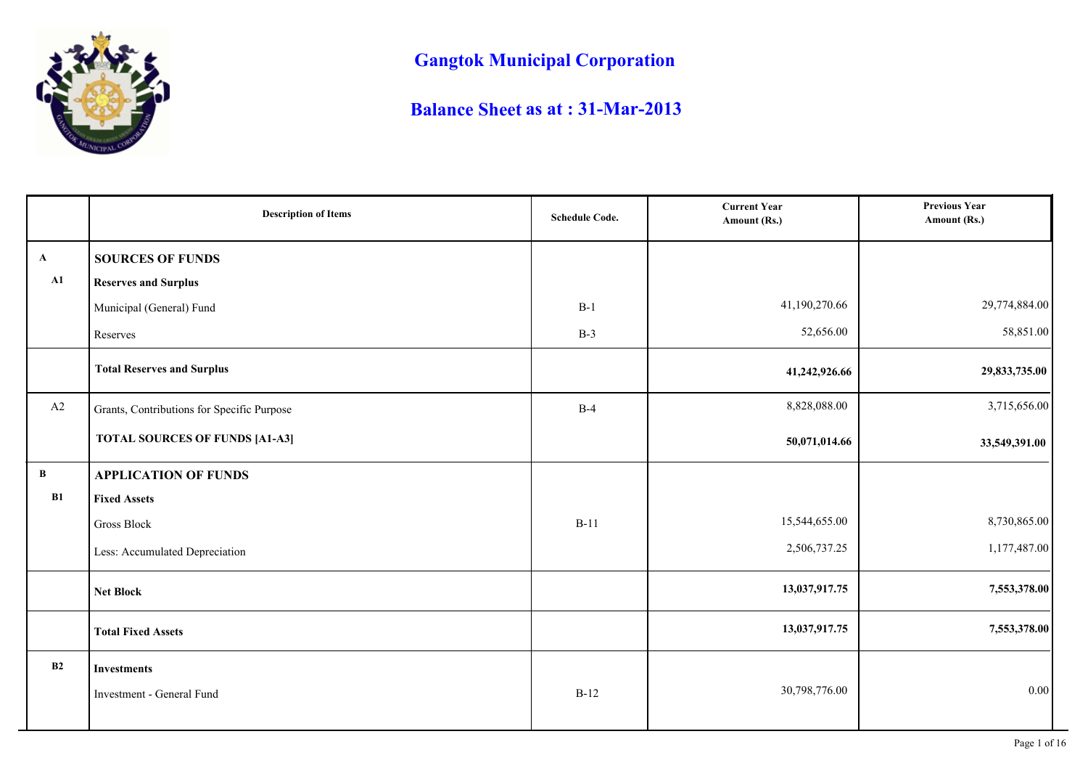

# **Gangtok Municipal Corporation**

## **Balance Sheet as at : 31-Mar-2013**

|               | <b>Description of Items</b>                | <b>Schedule Code.</b> | <b>Current Year</b><br>Amount (Rs.) | <b>Previous Year</b><br>Amount (Rs.) |
|---------------|--------------------------------------------|-----------------------|-------------------------------------|--------------------------------------|
| $\mathbf{A}$  | <b>SOURCES OF FUNDS</b>                    |                       |                                     |                                      |
| $\mathbf{A1}$ | <b>Reserves and Surplus</b>                |                       |                                     |                                      |
|               | Municipal (General) Fund                   | $B-1$                 | 41,190,270.66                       | 29,774,884.00                        |
|               | Reserves                                   | $B-3$                 | 52,656.00                           | 58,851.00                            |
|               | <b>Total Reserves and Surplus</b>          |                       | 41,242,926.66                       | 29,833,735.00                        |
| A2            | Grants, Contributions for Specific Purpose | $B-4$                 | 8,828,088.00                        | 3,715,656.00                         |
|               | <b>TOTAL SOURCES OF FUNDS [A1-A3]</b>      |                       | 50,071,014.66                       | 33,549,391.00                        |
| $\, {\bf B}$  | <b>APPLICATION OF FUNDS</b>                |                       |                                     |                                      |
| B1            | <b>Fixed Assets</b>                        |                       |                                     |                                      |
|               | Gross Block                                | $B-11$                | 15,544,655.00                       | 8,730,865.00                         |
|               | Less: Accumulated Depreciation             |                       | 2,506,737.25                        | 1,177,487.00                         |
|               | <b>Net Block</b>                           |                       | 13,037,917.75                       | 7,553,378.00                         |
|               | <b>Total Fixed Assets</b>                  |                       | 13,037,917.75                       | 7,553,378.00                         |
| B2            | <b>Investments</b>                         |                       |                                     |                                      |
|               | Investment - General Fund                  | $B-12$                | 30,798,776.00                       | $0.00\,$                             |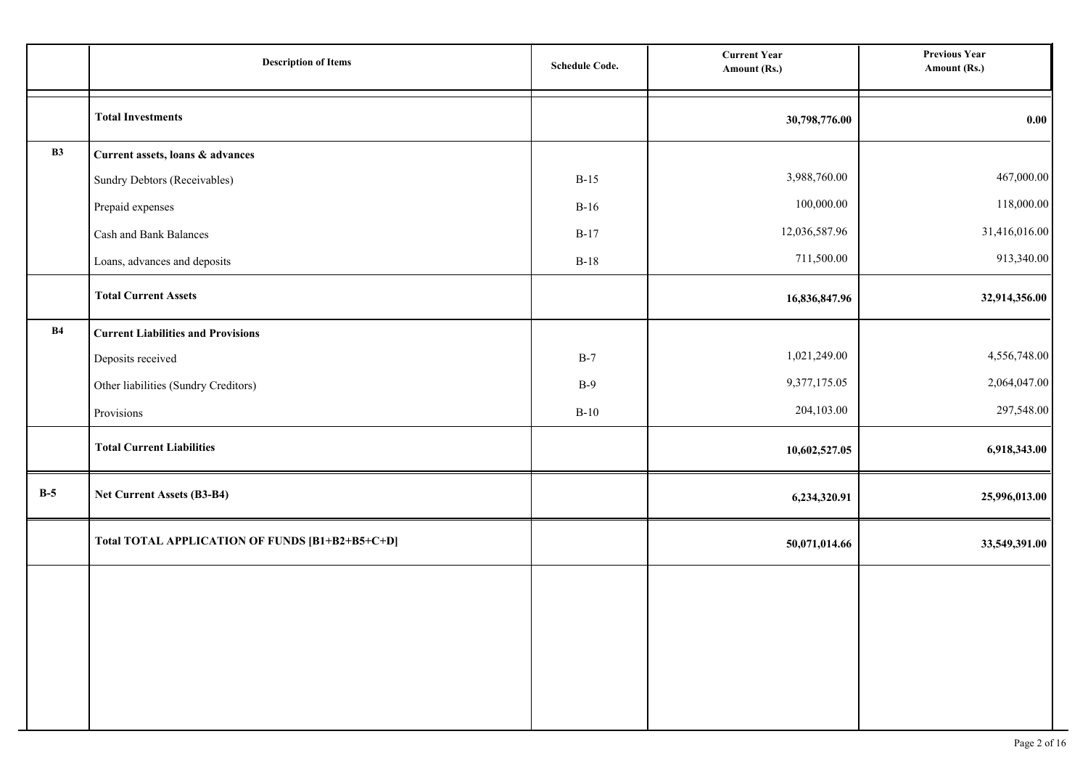|       | <b>Description of Items</b>                     | <b>Schedule Code.</b> | <b>Current Year</b><br>Amount (Rs.) | <b>Previous Year</b><br>Amount (Rs.) |
|-------|-------------------------------------------------|-----------------------|-------------------------------------|--------------------------------------|
|       | <b>Total Investments</b>                        |                       | 30,798,776.00                       | 0.00                                 |
| B3    | Current assets, loans & advances                |                       |                                     |                                      |
|       | Sundry Debtors (Receivables)                    | $B-15$                | 3,988,760.00                        | 467,000.00                           |
|       | Prepaid expenses                                | $B-16$                | 100,000.00                          | 118,000.00                           |
|       | Cash and Bank Balances                          | $B-17$                | 12,036,587.96                       | 31,416,016.00                        |
|       | Loans, advances and deposits                    | $B-18$                | 711,500.00                          | 913,340.00                           |
|       | <b>Total Current Assets</b>                     |                       | 16,836,847.96                       | 32,914,356.00                        |
| B4    | <b>Current Liabilities and Provisions</b>       |                       |                                     |                                      |
|       | Deposits received                               | $B-7$                 | 1,021,249.00                        | 4,556,748.00                         |
|       | Other liabilities (Sundry Creditors)            | $B-9$                 | 9,377,175.05                        | 2,064,047.00                         |
|       | Provisions                                      | $B-10$                | 204,103.00                          | 297,548.00                           |
|       | <b>Total Current Liabilities</b>                |                       | 10,602,527.05                       | 6,918,343.00                         |
| $B-5$ | Net Current Assets (B3-B4)                      |                       | 6,234,320.91                        | 25,996,013.00                        |
|       | Total TOTAL APPLICATION OF FUNDS [B1+B2+B5+C+D] |                       | 50,071,014.66                       | 33,549,391.00                        |
|       |                                                 |                       |                                     |                                      |
|       |                                                 |                       |                                     |                                      |
|       |                                                 |                       |                                     |                                      |
|       |                                                 |                       |                                     |                                      |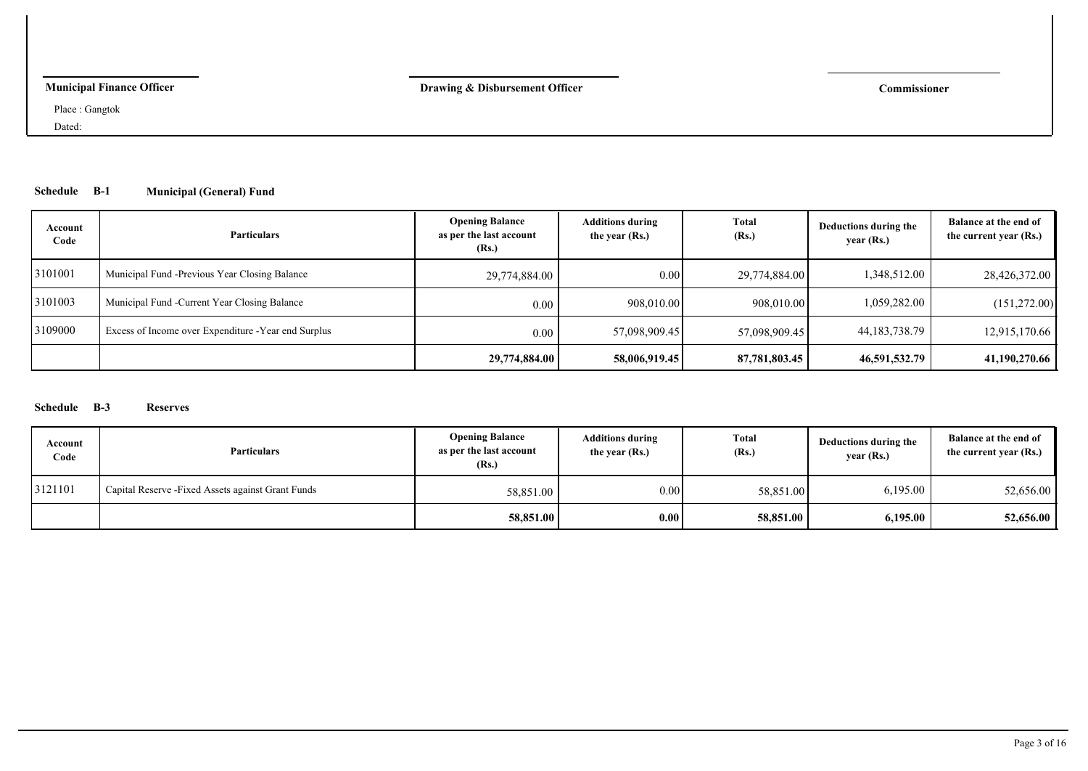## **Municipal Finance Officer**

**Drawing & Disbursement Officer Commissioner**

Place : Gangtok

Dated:

## **Schedule B-1 Municipal (General) Fund**

| Account<br>Code | <b>Particulars</b>                                   | <b>Opening Balance</b><br>as per the last account<br>(Rs.) | <b>Additions during</b><br>the year (Rs.) | <b>Total</b><br>(Rs.) | Deductions during the<br>year (Rs.) | Balance at the end of<br>the current year (Rs.) |
|-----------------|------------------------------------------------------|------------------------------------------------------------|-------------------------------------------|-----------------------|-------------------------------------|-------------------------------------------------|
| 3101001         | Municipal Fund - Previous Year Closing Balance       | 29,774,884.00                                              | 0.00                                      | 29,774,884.00         | 1,348,512.00                        | 28,426,372.00                                   |
| 3101003         | Municipal Fund - Current Year Closing Balance        | 0.00                                                       | 908,010.00                                | 908,010.00            | 1,059,282.00                        | (151,272.00)                                    |
| 3109000         | Excess of Income over Expenditure - Year end Surplus | 0.00                                                       | 57,098,909.45                             | 57,098,909.45         | 44, 183, 738. 79                    | 12,915,170.66                                   |
|                 |                                                      | 29,774,884.00                                              | 58,006,919.45                             | 87,781,803.45         | 46,591,532.79                       | 41,190,270.66                                   |

## **Schedule B-3 Reserves**

| Account<br>Code | <b>Particulars</b>                                 | <b>Opening Balance</b><br>as per the last account<br>(Rs.) | <b>Additions during</b><br>the year (Rs.) | Total<br>(Rs.) | Deductions during the<br>year(Rs.) | Balance at the end of<br>the current year (Rs.) |
|-----------------|----------------------------------------------------|------------------------------------------------------------|-------------------------------------------|----------------|------------------------------------|-------------------------------------------------|
| 3121101         | Capital Reserve - Fixed Assets against Grant Funds | 58,851.00                                                  | 0.00                                      | 58,851.00      | 6,195.00                           | 52,656.00                                       |
|                 |                                                    | 58,851.00                                                  | 0.00                                      | 58,851.00      | 6.195.00                           | 52,656.00                                       |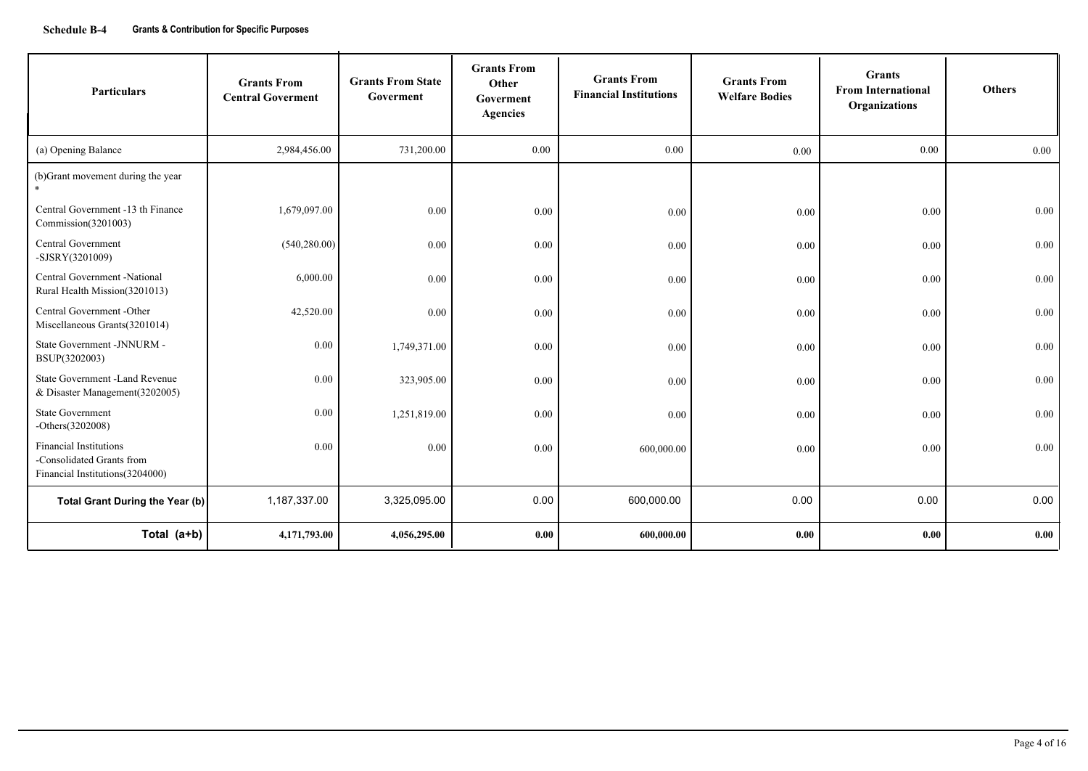| <b>Particulars</b>                                                                             | <b>Grants From</b><br><b>Central Goverment</b> | <b>Grants From State</b><br>Goverment | <b>Grants From</b><br>Other<br>Goverment<br><b>Agencies</b> | <b>Grants From</b><br><b>Financial Institutions</b> | <b>Grants From</b><br><b>Welfare Bodies</b> | <b>Grants</b><br><b>From International</b><br>Organizations | <b>Others</b> |
|------------------------------------------------------------------------------------------------|------------------------------------------------|---------------------------------------|-------------------------------------------------------------|-----------------------------------------------------|---------------------------------------------|-------------------------------------------------------------|---------------|
| (a) Opening Balance                                                                            | 2,984,456.00                                   | 731,200.00                            | 0.00                                                        | 0.00                                                | 0.00                                        | 0.00                                                        | 0.00          |
| (b)Grant movement during the year                                                              |                                                |                                       |                                                             |                                                     |                                             |                                                             |               |
| Central Government -13 th Finance<br>Commission(3201003)                                       | 1,679,097.00                                   | 0.00                                  | 0.00                                                        | 0.00                                                | 0.00                                        | 0.00                                                        | 0.00          |
| <b>Central Government</b><br>-SJSRY(3201009)                                                   | (540, 280.00)                                  | 0.00                                  | 0.00                                                        | 0.00                                                | 0.00                                        | 0.00                                                        | 0.00          |
| Central Government -National<br>Rural Health Mission(3201013)                                  | 6,000.00                                       | 0.00                                  | 0.00                                                        | 0.00                                                | 0.00                                        | 0.00                                                        | 0.00          |
| Central Government -Other<br>Miscellaneous Grants(3201014)                                     | 42,520.00                                      | 0.00                                  | 0.00                                                        | 0.00                                                | 0.00                                        | 0.00                                                        | 0.00          |
| State Government -JNNURM -<br>BSUP(3202003)                                                    | 0.00                                           | 1,749,371.00                          | 0.00                                                        | 0.00                                                | 0.00                                        | 0.00                                                        | 0.00          |
| State Government -Land Revenue<br>& Disaster Management (3202005)                              | 0.00                                           | 323,905.00                            | 0.00                                                        | 0.00                                                | 0.00                                        | 0.00                                                        | 0.00          |
| <b>State Government</b><br>$-Others(3202008)$                                                  | 0.00                                           | 1,251,819.00                          | 0.00                                                        | 0.00                                                | 0.00                                        | 0.00                                                        | 0.00          |
| <b>Financial Institutions</b><br>-Consolidated Grants from<br>Financial Institutions (3204000) | 0.00                                           | 0.00                                  | 0.00                                                        | 600,000.00                                          | 0.00                                        | 0.00                                                        | 0.00          |
| Total Grant During the Year (b)                                                                | 1,187,337.00                                   | 3,325,095.00                          | 0.00                                                        | 600,000.00                                          | 0.00                                        | 0.00                                                        | 0.00          |
| Total (a+b)                                                                                    | 4,171,793.00                                   | 4,056,295.00                          | 0.00                                                        | 600,000.00                                          | 0.00                                        | 0.00                                                        | 0.00          |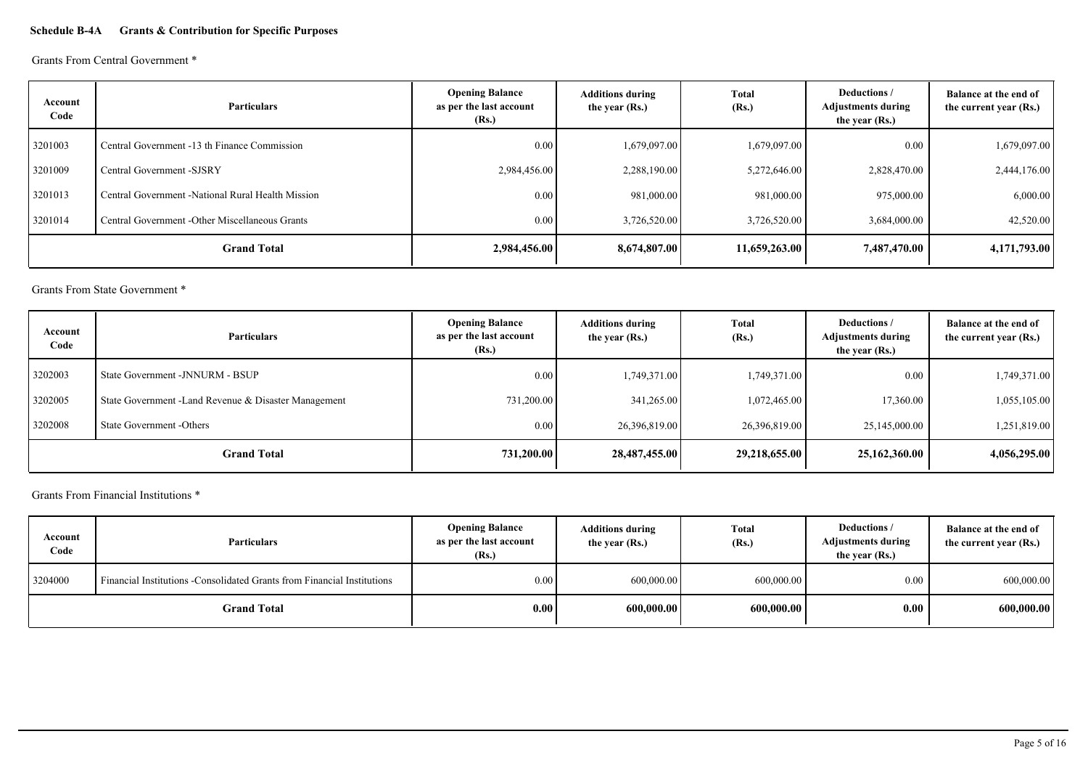## **Schedule B-4A Grants & Contribution for Specific Purposes**

Grants From Central Government \*

| Account<br>Code | <b>Particulars</b>                                | <b>Opening Balance</b><br>as per the last account<br>(Rs.) | <b>Additions during</b><br>the year (Rs.) | Total<br>(Rs.) | Deductions /<br><b>Adjustments during</b><br>the year (Rs.) | Balance at the end of<br>the current year (Rs.) |
|-----------------|---------------------------------------------------|------------------------------------------------------------|-------------------------------------------|----------------|-------------------------------------------------------------|-------------------------------------------------|
| 3201003         | Central Government -13 th Finance Commission      | 0.00                                                       | 1,679,097.00                              | 1,679,097.00   | 0.00                                                        | 1,679,097.00                                    |
| 3201009         | Central Government -SJSRY                         | 2,984,456.00                                               | 2,288,190.00                              | 5,272,646.00   | 2,828,470.00                                                | 2,444,176.00                                    |
| 3201013         | Central Government -National Rural Health Mission | 0.00                                                       | 981,000.00                                | 981,000.00     | 975,000.00                                                  | 6,000.00                                        |
| 3201014         | Central Government - Other Miscellaneous Grants   | 0.00                                                       | 3,726,520.00                              | 3,726,520.00   | 3,684,000.00                                                | 42,520.00                                       |
|                 | <b>Grand Total</b>                                | 2,984,456.00                                               | 8,674,807.00                              | 11,659,263.00  | 7,487,470.00                                                | 4,171,793.00                                    |

Grants From State Government \*

| Account<br>Code | <b>Particulars</b>                                    | <b>Opening Balance</b><br>as per the last account<br>(Rs.) | <b>Additions during</b><br>the year (Rs.) | <b>Total</b><br>(Rs.) | Deductions /<br><b>Adjustments during</b><br>the year (Rs.) | Balance at the end of<br>the current year (Rs.) |
|-----------------|-------------------------------------------------------|------------------------------------------------------------|-------------------------------------------|-----------------------|-------------------------------------------------------------|-------------------------------------------------|
| 3202003         | State Government - JNNURM - BSUP                      | 0.00                                                       | 1,749,371.00                              | 1,749,371.00          | 0.00                                                        | 1,749,371.00                                    |
| 3202005         | State Government - Land Revenue & Disaster Management | 731,200.00                                                 | 341,265.00                                | 1,072,465.00          | 17,360.00                                                   | 1,055,105.00                                    |
| 3202008         | State Government -Others                              | 0.00                                                       | 26,396,819.00                             | 26,396,819.00         | 25,145,000.00                                               | 1,251,819.00                                    |
|                 | <b>Grand Total</b>                                    | 731,200.00                                                 | 28,487,455.00                             | 29,218,655.00         | 25,162,360.00                                               | 4,056,295.00                                    |

Grants From Financial Institutions \*

| Account<br>Code    | <b>Particulars</b>                                                       | <b>Opening Balance</b><br>as per the last account<br>(Rs.) | <b>Additions during</b><br>the year (Rs.) | <b>Total</b><br>(Rs.) | Deductions /<br><b>Adjustments during</b><br>the year (Rs.) | Balance at the end of<br>the current year (Rs.) |
|--------------------|--------------------------------------------------------------------------|------------------------------------------------------------|-------------------------------------------|-----------------------|-------------------------------------------------------------|-------------------------------------------------|
| 3204000            | Financial Institutions - Consolidated Grants from Financial Institutions | $0.00\,$                                                   | 600,000.00                                | 600,000.00            | 0.00                                                        | 600,000.00                                      |
| <b>Grand Total</b> |                                                                          | 0.00 <sub>l</sub>                                          | 600,000.00                                | 600,000.00            | 0.00                                                        | 600,000.00                                      |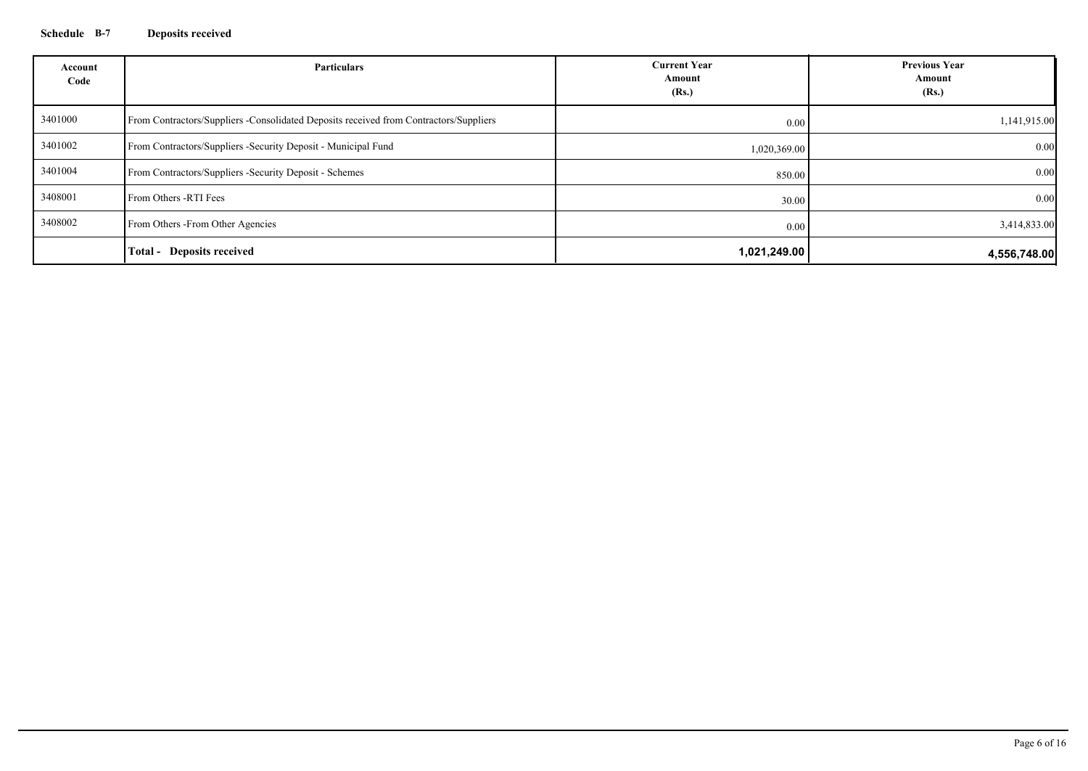## **Schedule B-7 Deposits received**

| Account<br>Code | <b>Particulars</b>                                                                    | <b>Current Year</b><br>Amount<br>(Rs.) | <b>Previous Year</b><br>Amount<br>(Rs.) |
|-----------------|---------------------------------------------------------------------------------------|----------------------------------------|-----------------------------------------|
| 3401000         | From Contractors/Suppliers -Consolidated Deposits received from Contractors/Suppliers | 0.00                                   | 1,141,915.00                            |
| 3401002         | From Contractors/Suppliers - Security Deposit - Municipal Fund                        | 1,020,369.00                           | 0.00                                    |
| 3401004         | From Contractors/Suppliers -Security Deposit - Schemes                                | 850.00                                 | 0.00                                    |
| 3408001         | From Others -RTI Fees                                                                 | 30.00                                  | 0.00                                    |
| 3408002         | From Others - From Other Agencies                                                     | 0.00                                   | 3,414,833.00                            |
|                 | <b>Total - Deposits received</b>                                                      | 1,021,249.00                           | 4,556,748.00                            |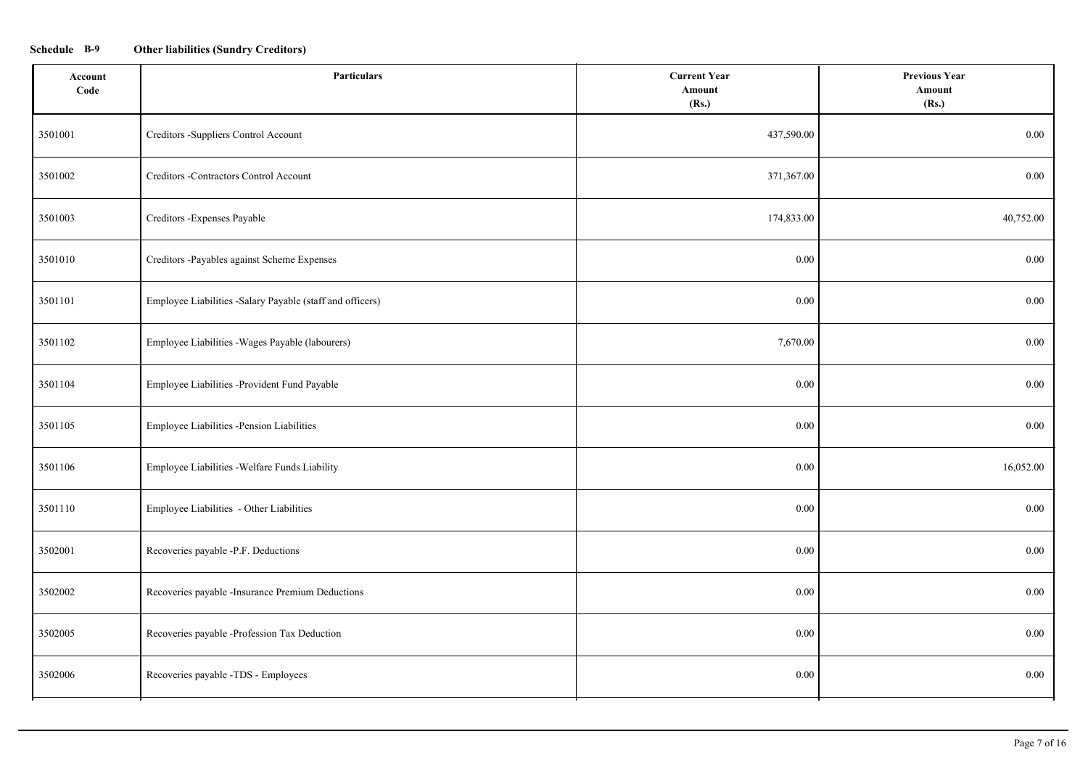## **Schedule B-9 Other liabilities (Sundry Creditors)**

| Account<br>Code | <b>Particulars</b>                                        | <b>Current Year</b><br>Amount<br>(Rs.) | <b>Previous Year</b><br>Amount<br>(Rs.) |
|-----------------|-----------------------------------------------------------|----------------------------------------|-----------------------------------------|
| 3501001         | Creditors -Suppliers Control Account                      | 437,590.00                             | $0.00\,$                                |
| 3501002         | Creditors -Contractors Control Account                    | 371,367.00                             | $0.00\,$                                |
| 3501003         | Creditors - Expenses Payable                              | 174,833.00                             | 40,752.00                               |
| 3501010         | Creditors -Payables against Scheme Expenses               | 0.00                                   | 0.00                                    |
| 3501101         | Employee Liabilities -Salary Payable (staff and officers) | 0.00                                   | $0.00\,$                                |
| 3501102         | Employee Liabilities - Wages Payable (labourers)          | 7,670.00                               | 0.00                                    |
| 3501104         | Employee Liabilities -Provident Fund Payable              | 0.00                                   | 0.00                                    |
| 3501105         | Employee Liabilities -Pension Liabilities                 | 0.00                                   | 0.00                                    |
| 3501106         | Employee Liabilities - Welfare Funds Liability            | 0.00                                   | 16,052.00                               |
| 3501110         | Employee Liabilities - Other Liabilities                  | 0.00                                   | 0.00                                    |
| 3502001         | Recoveries payable -P.F. Deductions                       | 0.00                                   | 0.00                                    |
| 3502002         | Recoveries payable -Insurance Premium Deductions          | 0.00                                   | $0.00\,$                                |
| 3502005         | Recoveries payable -Profession Tax Deduction              | 0.00                                   | $0.00\,$                                |
| 3502006         | Recoveries payable -TDS - Employees                       | 0.00                                   | $0.00\,$                                |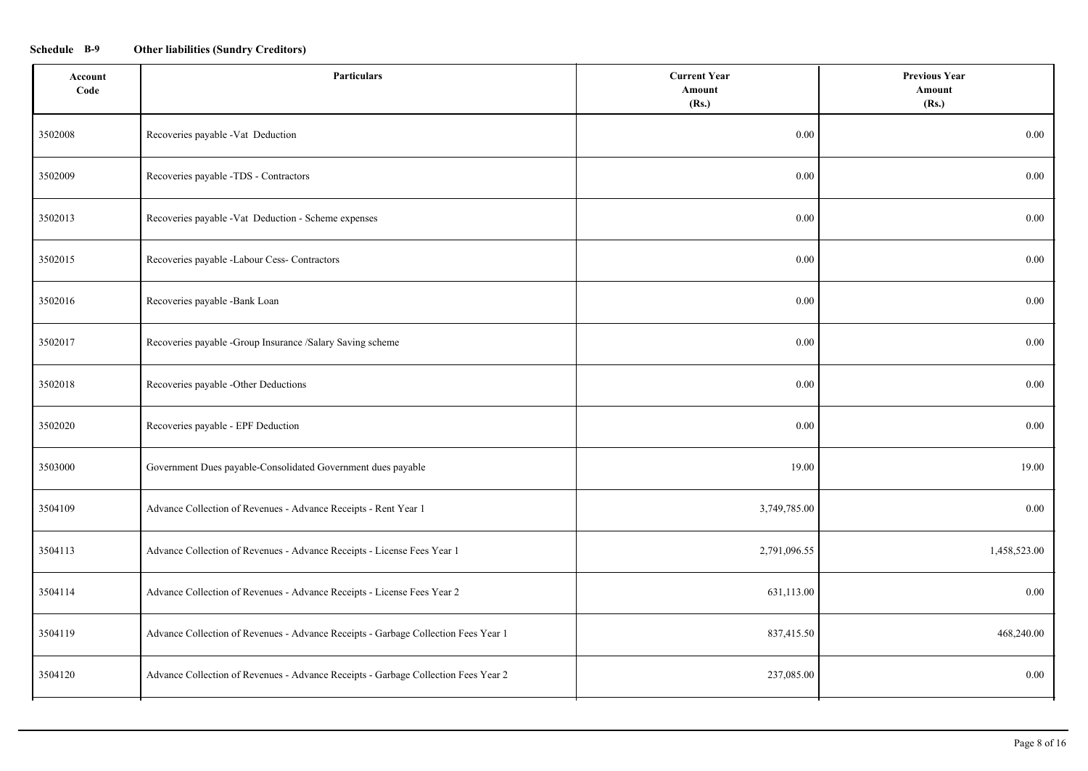## **Schedule B-9 Other liabilities (Sundry Creditors)**

| Account<br>Code | <b>Particulars</b>                                                                 | <b>Current Year</b><br>Amount<br>(Rs.) | <b>Previous Year</b><br>Amount<br>(Rs.) |
|-----------------|------------------------------------------------------------------------------------|----------------------------------------|-----------------------------------------|
| 3502008         | Recoveries payable -Vat Deduction                                                  | $0.00\,$                               | 0.00                                    |
| 3502009         | Recoveries payable -TDS - Contractors                                              | 0.00                                   | 0.00                                    |
| 3502013         | Recoveries payable -Vat Deduction - Scheme expenses                                | $0.00\,$                               | $0.00\,$                                |
| 3502015         | Recoveries payable -Labour Cess- Contractors                                       | $0.00\,$                               | $0.00\,$                                |
| 3502016         | Recoveries payable -Bank Loan                                                      | $0.00\,$                               | $0.00\,$                                |
| 3502017         | Recoveries payable -Group Insurance /Salary Saving scheme                          | $0.00\,$                               | $0.00\,$                                |
| 3502018         | Recoveries payable -Other Deductions                                               | 0.00                                   | $0.00\,$                                |
| 3502020         | Recoveries payable - EPF Deduction                                                 | 0.00                                   | 0.00                                    |
| 3503000         | Government Dues payable-Consolidated Government dues payable                       | 19.00                                  | 19.00                                   |
| 3504109         | Advance Collection of Revenues - Advance Receipts - Rent Year 1                    | 3,749,785.00                           | $0.00\,$                                |
| 3504113         | Advance Collection of Revenues - Advance Receipts - License Fees Year 1            | 2,791,096.55                           | 1,458,523.00                            |
| 3504114         | Advance Collection of Revenues - Advance Receipts - License Fees Year 2            | 631,113.00                             | $0.00\,$                                |
| 3504119         | Advance Collection of Revenues - Advance Receipts - Garbage Collection Fees Year 1 | 837,415.50                             | 468,240.00                              |
| 3504120         | Advance Collection of Revenues - Advance Receipts - Garbage Collection Fees Year 2 | 237,085.00                             | $0.00\,$                                |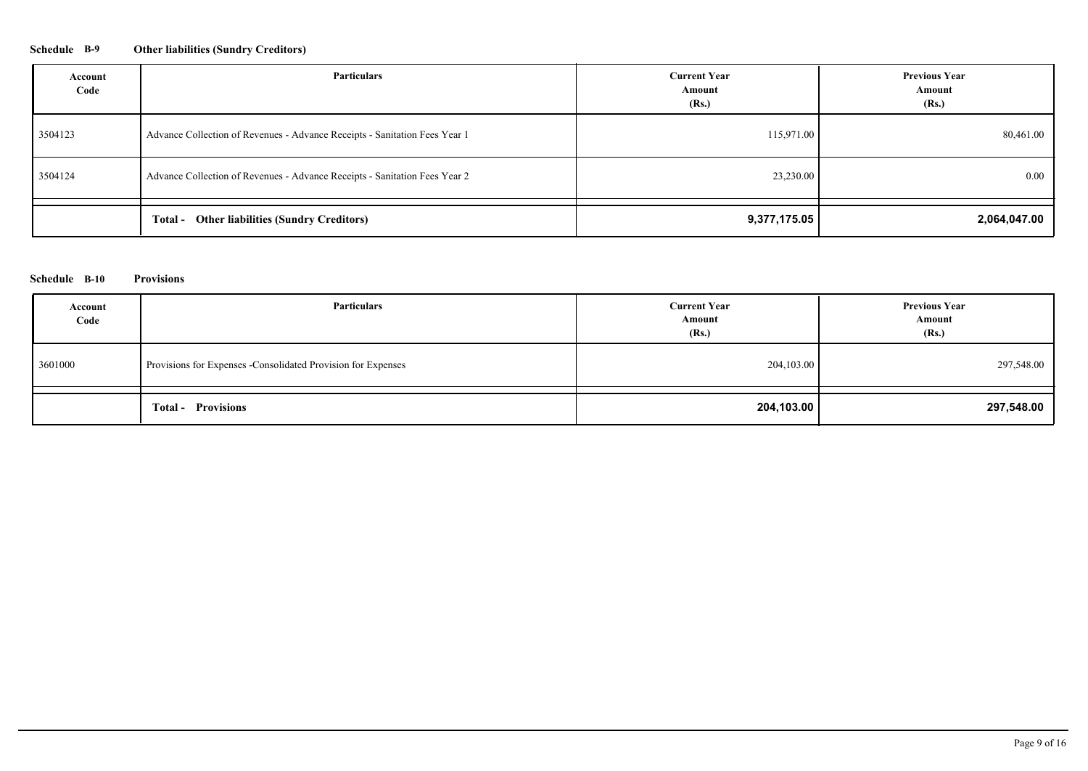## **Schedule B-9 Other liabilities (Sundry Creditors)**

| Account<br>Code | Particulars                                                                | <b>Current Year</b><br>Amount<br>(Rs.) | <b>Previous Year</b><br>Amount<br>(Rs.) |
|-----------------|----------------------------------------------------------------------------|----------------------------------------|-----------------------------------------|
| 3504123         | Advance Collection of Revenues - Advance Receipts - Sanitation Fees Year 1 | 115,971.00                             | 80,461.00                               |
| 3504124         | Advance Collection of Revenues - Advance Receipts - Sanitation Fees Year 2 | 23,230.00                              | $0.00\,$                                |
|                 | <b>Total - Other liabilities (Sundry Creditors)</b>                        | 9,377,175.05                           | 2,064,047.00                            |

#### **Schedule B-10 Provisions**

| Account<br>Code | Particulars                                                   | <b>Current Year</b><br>Amount<br>(Rs.) | <b>Previous Year</b><br>Amount<br>(Rs.) |
|-----------------|---------------------------------------------------------------|----------------------------------------|-----------------------------------------|
| 3601000         | Provisions for Expenses - Consolidated Provision for Expenses | 204,103.00                             | 297,548.00                              |
|                 | <b>Total - Provisions</b>                                     | 204,103.00                             | 297,548.00                              |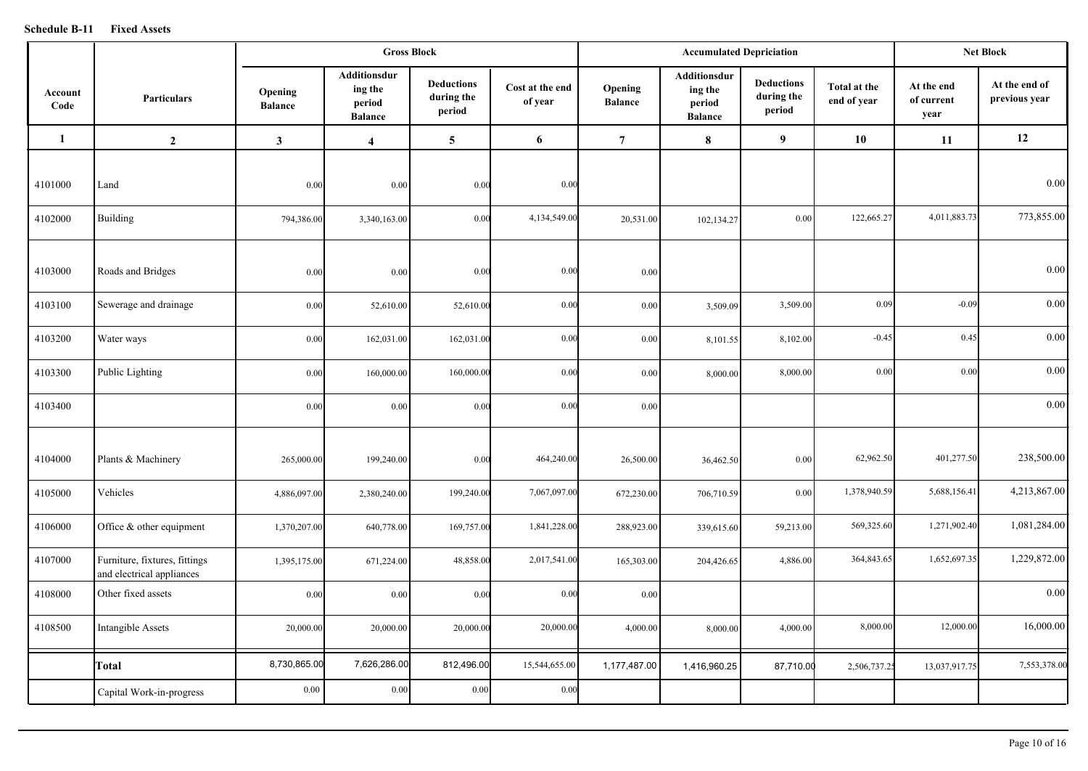#### **Schedule B-11 Fixed Assets**

|                 |                                                            |                           |                                                     | <b>Gross Block</b>                        |                            | <b>Accumulated Depriciation</b> |                                                     |                                           |                             | <b>Net Block</b>                 |                                |
|-----------------|------------------------------------------------------------|---------------------------|-----------------------------------------------------|-------------------------------------------|----------------------------|---------------------------------|-----------------------------------------------------|-------------------------------------------|-----------------------------|----------------------------------|--------------------------------|
| Account<br>Code | <b>Particulars</b>                                         | Opening<br><b>Balance</b> | Additionsdur<br>ing the<br>period<br><b>Balance</b> | <b>Deductions</b><br>during the<br>period | Cost at the end<br>of year | Opening<br><b>Balance</b>       | Additionsdur<br>ing the<br>period<br><b>Balance</b> | <b>Deductions</b><br>during the<br>period | Total at the<br>end of year | At the end<br>of current<br>year | At the end of<br>previous year |
| 1               | $\overline{2}$                                             | $\mathbf{3}$              | $\overline{4}$                                      | 5                                         | 6                          | $\overline{7}$                  | $\bf{8}$                                            | 9 <sup>°</sup>                            | 10                          | 11                               | 12                             |
| 4101000         | Land                                                       | 0.00                      | 0.00                                                | 0.00                                      | 0.00                       |                                 |                                                     |                                           |                             |                                  | 0.00                           |
| 4102000         | Building                                                   | 794,386.00                | 3,340,163.00                                        | 0.00                                      | 4,134,549.00               | 20,531.00                       | 102,134.27                                          | 0.00                                      | 122,665.27                  | 4,011,883.73                     | 773,855.00                     |
| 4103000         | Roads and Bridges                                          | 0.00                      | 0.00                                                | 0.00                                      | 0.00                       | 0.00                            |                                                     |                                           |                             |                                  | $0.00\,$                       |
| 4103100         | Sewerage and drainage                                      | 0.00                      | 52,610.00                                           | 52,610.00                                 | 0.00                       | 0.00                            | 3,509.09                                            | 3,509.00                                  | 0.09                        | $-0.09$                          | $0.00\,$                       |
| 4103200         | Water ways                                                 | 0.00                      | 162,031.00                                          | 162,031.00                                | 0.00                       | 0.00                            | 8,101.55                                            | 8,102.00                                  | $-0.45$                     | 0.45                             | 0.00                           |
| 4103300         | Public Lighting                                            | 0.00                      | 160,000.00                                          | 160,000.00                                | 0.00                       | 0.00                            | 8,000.00                                            | 8,000.00                                  | 0.00                        | 0.00                             | 0.00                           |
| 4103400         |                                                            | 0.00                      | 0.00                                                | 0.00                                      | 0.00                       | 0.00                            |                                                     |                                           |                             |                                  | 0.00                           |
| 4104000         | Plants & Machinery                                         | 265,000.00                | 199,240.00                                          | 0.00                                      | 464,240.00                 | 26,500.00                       | 36,462.50                                           | 0.00                                      | 62,962.50                   | 401,277.50                       | 238,500.00                     |
| 4105000         | Vehicles                                                   | 4,886,097.00              | 2,380,240.00                                        | 199,240.00                                | 7,067,097.00               | 672,230.00                      | 706,710.59                                          | 0.00                                      | 1,378,940.59                | 5,688,156.41                     | 4,213,867.00                   |
| 4106000         | Office $&$ other equipment                                 | 1,370,207.00              | 640,778.00                                          | 169,757.00                                | 1,841,228.00               | 288,923.00                      | 339,615.60                                          | 59,213.00                                 | 569,325.60                  | 1,271,902.40                     | 1,081,284.00                   |
| 4107000         | Furniture, fixtures, fittings<br>and electrical appliances | 1,395,175.00              | 671,224.00                                          | 48,858.00                                 | 2,017,541.00               | 165,303.00                      | 204,426.65                                          | 4,886.00                                  | 364,843.65                  | 1,652,697.35                     | 1,229,872.00                   |
| 4108000         | Other fixed assets                                         | 0.00                      | 0.00                                                | 0.00                                      | 0.00                       | 0.00                            |                                                     |                                           |                             |                                  | 0.00                           |
| 4108500         | Intangible Assets                                          | 20,000.00                 | 20,000.00                                           | 20,000.00                                 | 20,000.00                  | 4,000.00                        | 8,000.00                                            | 4,000.00                                  | 8,000.00                    | 12,000.00                        | 16,000.00                      |
|                 | Total                                                      | 8,730,865.00              | 7,626,286.00                                        | 812,496.00                                | 15,544,655.00              | 1,177,487.00                    | 1,416,960.25                                        | 87,710.00                                 | 2,506,737.25                | 13,037,917.75                    | 7,553,378.00                   |
|                 | Capital Work-in-progress                                   | 0.00                      | 0.00                                                | 0.00                                      | 0.00                       |                                 |                                                     |                                           |                             |                                  |                                |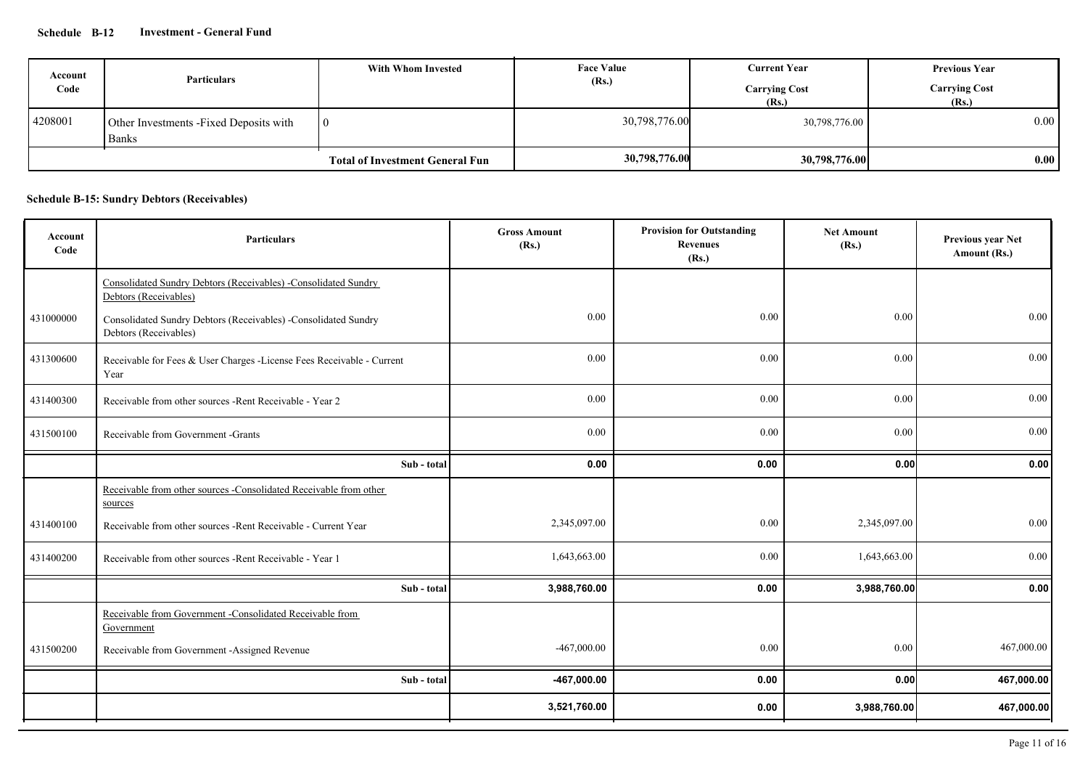## **Schedule B-12 Investment - General Fund**

| Account<br>Code | <b>Particulars</b>                                      | With Whom Invested                     | <b>Face Value</b><br>(Rs.) | <b>Current Year</b><br><b>Carrying Cost</b><br>(Rs.) | <b>Previous Year</b><br><b>Carrying Cost</b><br>(Rs.) |
|-----------------|---------------------------------------------------------|----------------------------------------|----------------------------|------------------------------------------------------|-------------------------------------------------------|
| 4208001         | Other Investments - Fixed Deposits with<br><b>Banks</b> | $\overline{10}$                        | 30,798,776.00              | 30,798,776.00                                        | 0.00                                                  |
|                 |                                                         | <b>Total of Investment General Fun</b> | 30,798,776.00              | 30,798,776.00                                        | 0.00 <sub>l</sub>                                     |

## **Schedule B-15: Sundry Debtors (Receivables)**

| Account<br>Code | <b>Particulars</b>                                                                      | <b>Gross Amount</b><br>(Rs.) | <b>Provision for Outstanding</b><br><b>Revenues</b><br>(Rs.) | <b>Net Amount</b><br>(Rs.) | Previous year Net<br>Amount (Rs.) |
|-----------------|-----------------------------------------------------------------------------------------|------------------------------|--------------------------------------------------------------|----------------------------|-----------------------------------|
|                 | Consolidated Sundry Debtors (Receivables) -Consolidated Sundry<br>Debtors (Receivables) |                              |                                                              |                            |                                   |
| 431000000       | Consolidated Sundry Debtors (Receivables) -Consolidated Sundry<br>Debtors (Receivables) | 0.00                         | 0.00                                                         | 0.00                       | 0.00                              |
| 431300600       | Receivable for Fees & User Charges -License Fees Receivable - Current<br>Year           | 0.00                         | 0.00                                                         | 0.00                       | 0.00                              |
| 431400300       | Receivable from other sources -Rent Receivable - Year 2                                 | 0.00                         | 0.00                                                         | 0.00                       | 0.00                              |
| 431500100       | Receivable from Government -Grants                                                      | 0.00                         | 0.00                                                         | 0.00                       | 0.00                              |
|                 | Sub - total                                                                             | 0.00                         | 0.00                                                         | 0.00                       | 0.00                              |
|                 | Receivable from other sources -Consolidated Receivable from other<br>sources            |                              |                                                              |                            |                                   |
| 431400100       | Receivable from other sources -Rent Receivable - Current Year                           | 2,345,097.00                 | 0.00                                                         | 2,345,097.00               | 0.00                              |
| 431400200       | Receivable from other sources - Rent Receivable - Year 1                                | 1,643,663.00                 | 0.00                                                         | 1,643,663.00               | 0.00                              |
|                 | Sub - total                                                                             | 3,988,760.00                 | 0.00                                                         | 3,988,760.00               | 0.00                              |
|                 | Receivable from Government -Consolidated Receivable from<br>Government                  |                              |                                                              |                            |                                   |
| 431500200       | Receivable from Government -Assigned Revenue                                            | $-467,000.00$                | 0.00                                                         | 0.00                       | 467,000.00                        |
|                 | Sub - total                                                                             | -467,000.00                  | 0.00                                                         | 0.00                       | 467,000.00                        |
|                 |                                                                                         | 3,521,760.00                 | 0.00                                                         | 3,988,760.00               | 467,000.00                        |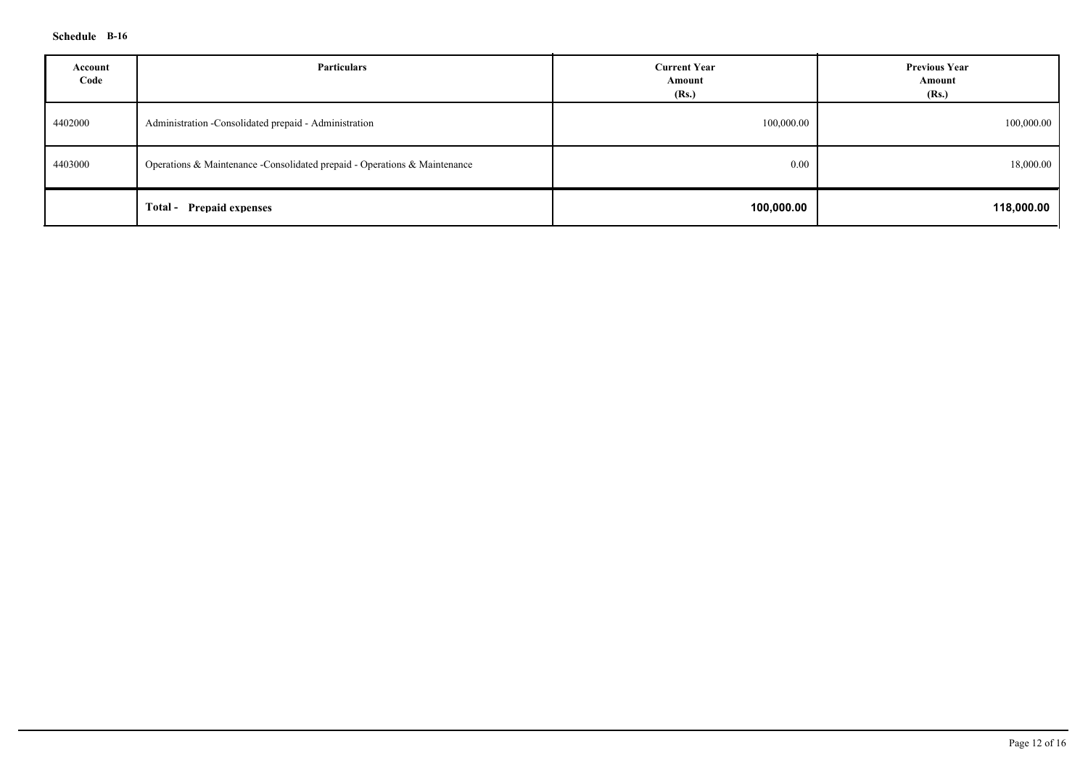## **Schedule B-16**

| Account<br>Code | Particulars                                                                | <b>Current Year</b><br>Amount<br>(Rs.) | <b>Previous Year</b><br>Amount<br>(Rs.) |
|-----------------|----------------------------------------------------------------------------|----------------------------------------|-----------------------------------------|
| 4402000         | Administration - Consolidated prepaid - Administration                     | 100,000.00                             | 100,000.00                              |
| 4403000         | Operations & Maintenance - Consolidated prepaid - Operations & Maintenance | 0.00                                   | 18,000.00                               |
|                 | <b>Prepaid expenses</b><br>Total-                                          | 100,000.00                             | 118,000.00                              |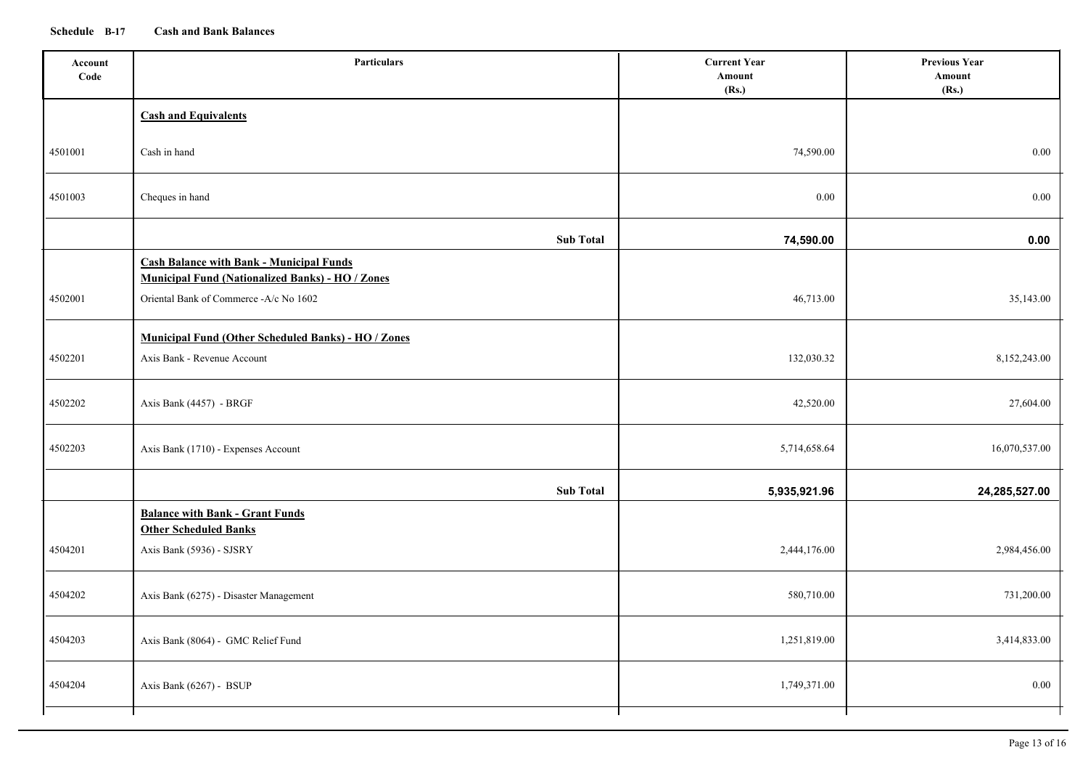## **Schedule B-17 Cash and Bank Balances**

| Account<br>Code | <b>Particulars</b>                                                                                         | <b>Current Year</b><br>Amount<br>(Rs.) | <b>Previous Year</b><br>Amount<br>(Rs.) |
|-----------------|------------------------------------------------------------------------------------------------------------|----------------------------------------|-----------------------------------------|
|                 | <b>Cash and Equivalents</b>                                                                                |                                        |                                         |
| 4501001         | Cash in hand                                                                                               | 74,590.00                              | $0.00\,$                                |
| 4501003         | Cheques in hand                                                                                            | $0.00\,$                               | $0.00\,$                                |
|                 | <b>Sub Total</b>                                                                                           | 74,590.00                              | 0.00                                    |
|                 | <b>Cash Balance with Bank - Municipal Funds</b><br><b>Municipal Fund (Nationalized Banks) - HO / Zones</b> |                                        |                                         |
| 4502001         | Oriental Bank of Commerce -A/c No 1602                                                                     | 46,713.00                              | 35,143.00                               |
| 4502201         | <b>Municipal Fund (Other Scheduled Banks) - HO / Zones</b><br>Axis Bank - Revenue Account                  | 132,030.32                             | 8,152,243.00                            |
| 4502202         | Axis Bank (4457) - BRGF                                                                                    | 42,520.00                              | 27,604.00                               |
| 4502203         | Axis Bank (1710) - Expenses Account                                                                        | 5,714,658.64                           | 16,070,537.00                           |
|                 | <b>Sub Total</b>                                                                                           | 5,935,921.96                           | 24,285,527.00                           |
|                 | <b>Balance with Bank - Grant Funds</b><br><b>Other Scheduled Banks</b>                                     |                                        |                                         |
| 4504201         | Axis Bank (5936) - SJSRY                                                                                   | 2,444,176.00                           | 2,984,456.00                            |
| 4504202         | Axis Bank (6275) - Disaster Management                                                                     | 580,710.00                             | 731,200.00                              |
| 4504203         | Axis Bank (8064) - GMC Relief Fund                                                                         | 1,251,819.00                           | 3,414,833.00                            |
| 4504204         | Axis Bank (6267) - BSUP                                                                                    | 1,749,371.00                           | $0.00\,$                                |
|                 |                                                                                                            |                                        |                                         |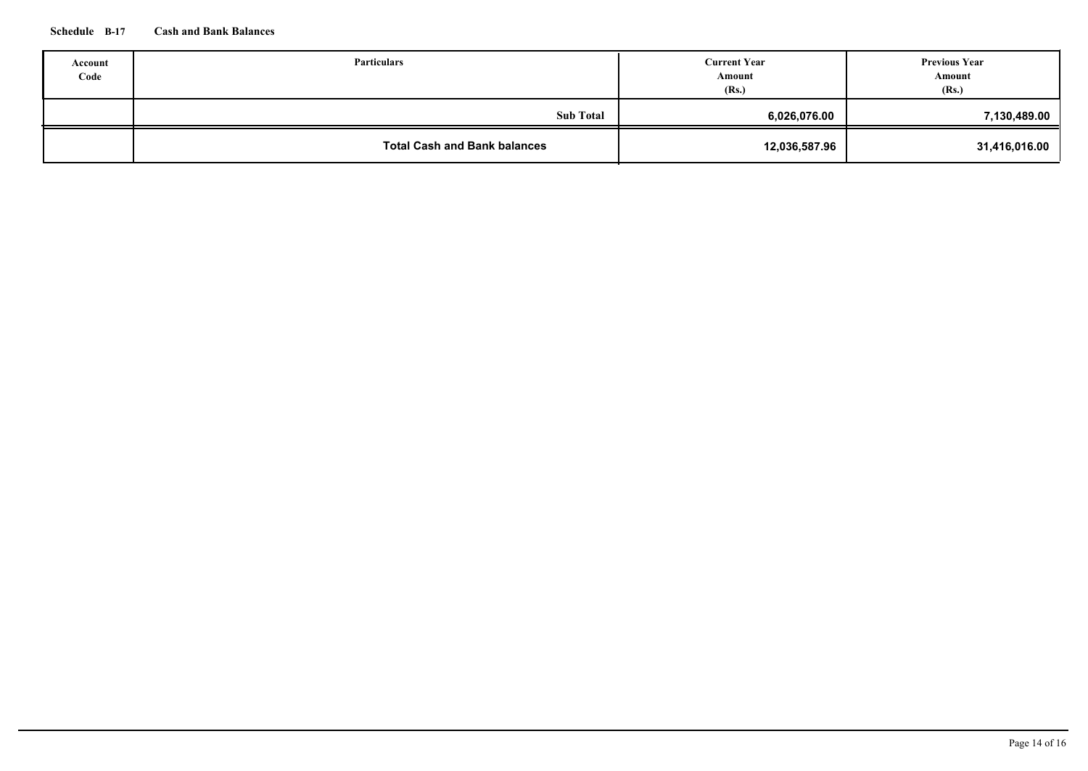## **Schedule B-17 Cash and Bank Balances**

| Account<br>Code | <b>Particulars</b>                  | <b>Current Year</b><br>Amount<br>(Rs.) | <b>Previous Year</b><br>Amount<br>(Rs.) |
|-----------------|-------------------------------------|----------------------------------------|-----------------------------------------|
|                 | <b>Sub Total</b>                    | 6,026,076.00                           | 7,130,489.00                            |
|                 | <b>Total Cash and Bank balances</b> | 12,036,587.96                          | 31,416,016.00                           |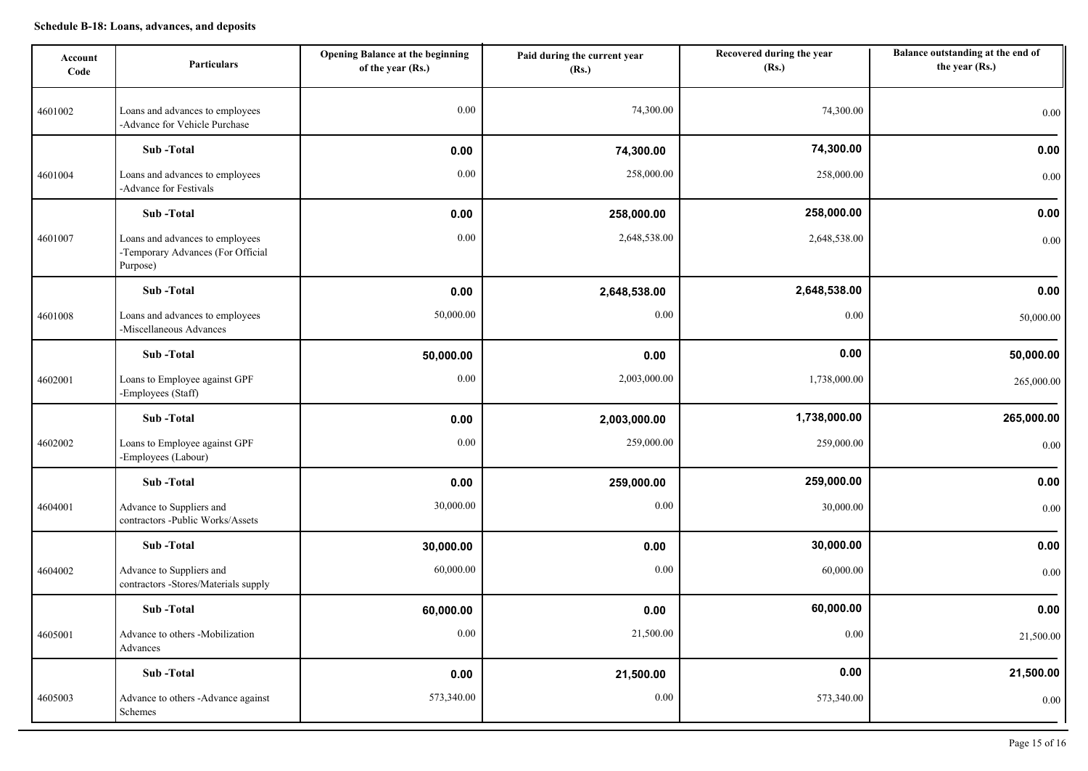| Account<br>Code | <b>Particulars</b>                                                               | <b>Opening Balance at the beginning</b><br>of the year (Rs.) | Paid during the current year<br>(Rs.) | Recovered during the year<br>(Rs.) | Balance outstanding at the end of<br>the year (Rs.) |
|-----------------|----------------------------------------------------------------------------------|--------------------------------------------------------------|---------------------------------------|------------------------------------|-----------------------------------------------------|
| 4601002         | Loans and advances to employees<br>-Advance for Vehicle Purchase                 | 0.00                                                         | 74,300.00                             | 74,300.00                          | 0.00                                                |
|                 | Sub-Total                                                                        | 0.00                                                         | 74,300.00                             | 74,300.00                          | 0.00                                                |
| 4601004         | Loans and advances to employees<br>-Advance for Festivals                        | 0.00                                                         | 258,000.00                            | 258,000.00                         | 0.00                                                |
|                 | Sub-Total                                                                        | 0.00                                                         | 258,000.00                            | 258,000.00                         | 0.00                                                |
| 4601007         | Loans and advances to employees<br>-Temporary Advances (For Official<br>Purpose) | 0.00                                                         | 2,648,538.00                          | 2,648,538.00                       | 0.00                                                |
|                 | Sub-Total                                                                        | 0.00                                                         | 2,648,538.00                          | 2,648,538.00                       | 0.00                                                |
| 4601008         | Loans and advances to employees<br>-Miscellaneous Advances                       | 50,000.00                                                    | 0.00                                  | 0.00                               | 50,000.00                                           |
|                 | Sub-Total                                                                        | 50,000.00                                                    | 0.00                                  | 0.00                               | 50,000.00                                           |
| 4602001         | Loans to Employee against GPF<br>-Employees (Staff)                              | 0.00                                                         | 2,003,000.00                          | 1,738,000.00                       | 265,000.00                                          |
|                 | Sub-Total                                                                        | 0.00                                                         | 2,003,000.00                          | 1,738,000.00                       | 265,000.00                                          |
| 4602002         | Loans to Employee against GPF<br>-Employees (Labour)                             | 0.00                                                         | 259,000.00                            | 259,000.00                         | 0.00                                                |
|                 | Sub-Total                                                                        | 0.00                                                         | 259,000.00                            | 259,000.00                         | 0.00                                                |
| 4604001         | Advance to Suppliers and<br>contractors -Public Works/Assets                     | 30,000.00                                                    | 0.00                                  | 30,000.00                          | 0.00                                                |
|                 | Sub-Total                                                                        | 30,000.00                                                    | 0.00                                  | 30,000.00                          | 0.00                                                |
| 4604002         | Advance to Suppliers and<br>contractors -Stores/Materials supply                 | 60,000.00                                                    | 0.00                                  | 60,000.00                          | 0.00                                                |
|                 | Sub-Total                                                                        | 60,000.00                                                    | 0.00                                  | 60,000.00                          | 0.00                                                |
| 4605001         | Advance to others -Mobilization<br>Advances                                      | 0.00                                                         | 21,500.00                             | 0.00                               | 21,500.00                                           |
|                 | Sub-Total                                                                        | 0.00                                                         | 21,500.00                             | 0.00                               | 21,500.00                                           |
| 4605003         | Advance to others -Advance against<br>Schemes                                    | 573,340.00                                                   | $0.00\,$                              | 573,340.00                         | 0.00                                                |